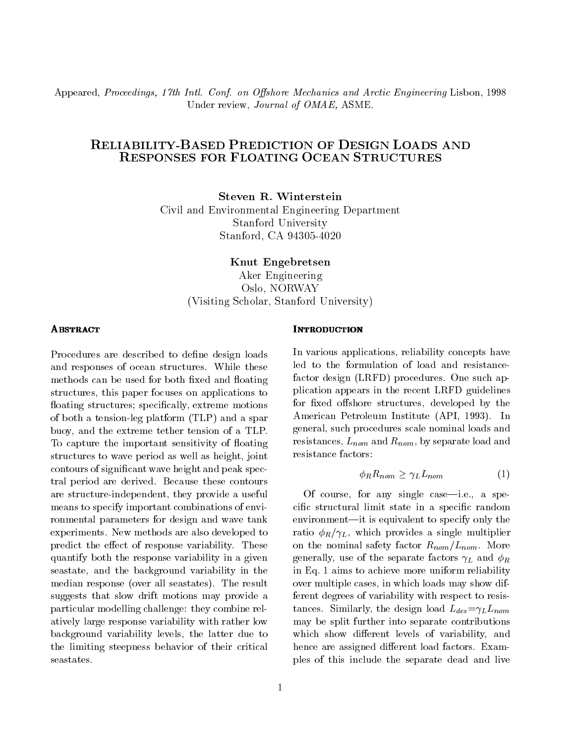Appeared, Proceedings, 17th Intl. Conf. on Offshore Mechanics and Arctic Engineering Lisbon, 1998 Under review, Journal of OMAE, ASME.

# RELIABILITY-BASED PREDICTION OF DESIGN LOADS AND RESPONSES FOR FLOATING OCEAN STRUCTURES

Steven R. Winterstein Civil and Environmental Engineering Department Stanford University Stanford, CA 94305-4020

Knut Engebretsen

Aker Engineering Oslo, NORWAY (Visiting Scholar, Stanford University)

Procedures are described to define design loads and responses of ocean structures. While these methods can be used for both fixed and floating structures, this paper focuses on applications to floating structures; specifically, extreme motions of both a tension-leg platform (TLP) and a spar buoy, and the extreme tether tension of a TLP. To capture the important sensitivity of floating structures to wave period as well as height, joint contours of signicant wave height and peak spectral period are derived. Because these contours are structure-independent, they provide a useful means to specify important combinations of environmental parameters for design and wave tank experiments. New methods are also developed to predict the effect of response variability. These quantify both the response variability in a given seastate, and the background variability in the median response (over all seastates). The result suggests that slow drift motions may provide a particular modelling challenge: they combine relatively large response variability with rather low background variability levels, the latter due to the limiting steepness behavior of their critical seastates.

In various applications, reliability concepts have led to the formulation of load and resistancefactor design (LRFD) procedures. One such application appears in the recent LRFD guidelines for fixed offshore structures, developed by the American Petroleum Institute (API, 1993). In general, such procedures scale nominal loads and resistances,  $L_{nom}$  and  $R_{nom}$ , by separate load and resistance factors:

$$
\phi_R R_{nom} \ge \gamma_L L_{nom} \tag{1}
$$

Of course, for any single case—i.e., a specic structural limit state in a specic random environment—it is equivalent to specify only the ratio  $\phi_R/\gamma_L$ , which provides a single multiplier on the nominal safety factor  $R_{nom}/L_{nom}$ . More generally, use of the separate factors  $\gamma_L$  and  $\phi_R$ in Eq. 1 aims to achieve more uniform reliability over multiple cases, in which loads may show different degrees of variability with respect to resistances. Similarly, the design load  $L_{des} = \gamma_L L_{nom}$ may be split further into separate contributions which show different levels of variability, and hence are assigned different load factors. Examples of this include the separate dead and live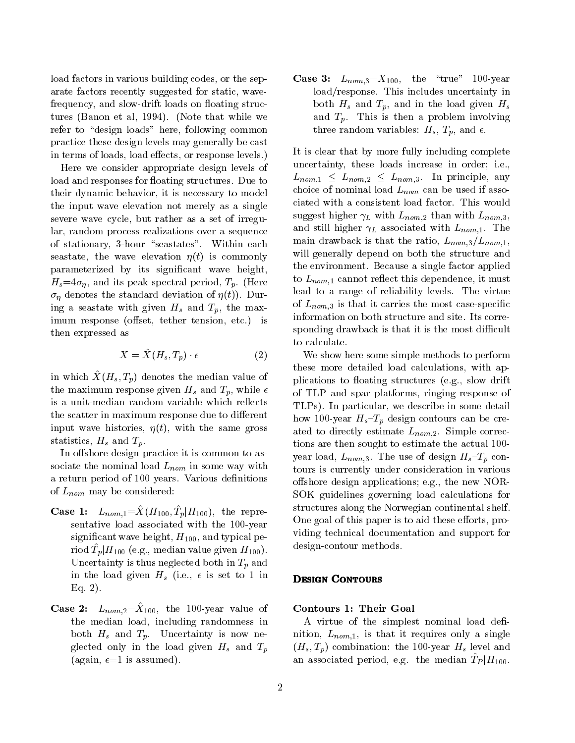load factors in various building codes, or the separate factors recently suggested for static, wavefrequency, and slow-drift loads on floating structures (Banon et al, 1994). (Note that while we refer to "design loads" here, following common practice these design levels may generally be cast in terms of loads, load effects, or response levels.)

Here we consider appropriate design levels of load and responses for floating structures. Due to their dynamic behavior, it is necessary to model the input wave elevation not merely as a single severe wave cycle, but rather as a set of irregular, random process realizations over a sequence of stationary, 3-hour "seastates". Within each seastate, the wave elevation  $\eta(t)$  is commonly parameterized by its signicant wave height,  $H_s=4\sigma_\eta$ , and its peak spectral period,  $T_p$ . (Here  $\sigma_{\eta}$  denotes the standard deviation of  $\eta(t)$ ). During a seastate with given  $H_s$  and  $T_p$ , the maximum response (offset, tether tension, etc.) is then expressed as

$$
X = \hat{X}(H_s, T_p) \cdot \epsilon \tag{2}
$$

in which  $\Lambda$   $(H_s, I_p)$  denotes the median value of the maximum response given  $H_s$  and  $T_p$ , while  $\epsilon$ is a unit-median random variable which reflects the scatter in maximum response due to different input wave histories,  $\eta(t)$ , with the same gross statistics,  $H_s$  and  $T_p$ .

In offshore design practice it is common to associate the nominal load  $L_{nom}$  in some way with a return period of 100 years. Various definitions of  $L_{nom}$  may be considered:

- Case 1:  $L_{\text{nom}} = \Lambda \left( H_{100}, H_{\text{p}} \right) H_{100}$ , the representative load associated with the 100-year significant wave height,  $H_{100}$ , and typical pe- $\lim_{n\to\infty}$   $\lim_{n\to\infty}$  (e.g., median value given  $H_{100}$ ). Uncertainty is thus neglected both in  $T_p$  and in the load given  $H_s$  (i.e.,  $\epsilon$  is set to 1 in **DESIGN CONTOURS** Eq. 2).
- Case 2:  $L_{\text{nom.2}} = \Lambda_{100}$ , the 100-year value of the median load, including randomness in both  $H_s$  and  $T_p$ . Uncertainty is now neglected only in the load given  $H_s$  and  $T_p$ (again,  $\epsilon=1$  is assumed).

**Case 3:**  $L_{nom,3} = X_{100}$ , the "true" 100-year load/response. This includes uncertainty in both  $H_s$  and  $T_p$ , and in the load given  $H_s$ and  $T_p$ . This is then a problem involving three random variables:  $H_s$ ,  $T_p$ , and  $\epsilon$ .

It is clear that by more fully including complete uncertainty, these loads increase in order; i.e.,  $L_{nom,1} \leq L_{nom,2} \leq L_{nom,3}$ . In principle, any choice of nominal load  $L_{nom}$  can be used if associated with a consistent load factor. This would suggest higher  $\gamma_L$  with  $L_{nom,2}$  than with  $L_{nom,3}$ , and still higher  $\gamma_L$  associated with  $L_{nom,1}$ . The main drawback is that the ratio,  $L_{nom,3}/L_{nom,1}$ , will generally depend on both the structure and the environment. Because a single factor applied to  $L_{nom,1}$  cannot reflect this dependence, it must lead to a range of reliability levels. The virtue of  $L_{nom,3}$  is that it carries the most case-specific information on both structure and site. Its corresponding drawback is that it is the most difficult to calculate.

We show here some simple methods to perform these more detailed load calculations, with applications to floating structures (e.g., slow drift of TLP and spar platforms, ringing response of TLPs). In particular, we describe in some detail how 100-year  $H_s-T_p$  design contours can be created to directly estimate  $L_{nom,2}$ . Simple corrections are then sought to estimate the actual 100 year load,  $L_{nom,3}$ . The use of design  $H_s$ - $T_p$  contours is currently under consideration in various offshore design applications; e.g., the new NOR-SOK guidelines governing load calculations for structures along the Norwegian continental shelf. One goal of this paper is to aid these efforts, providing technical documentation and support for design-contour methods.

## Contours 1: Their Goal

A virtue of the simplest nominal load definition,  $L_{nom,1}$ , is that it requires only a single  $(H_s, T_p)$  combination: the 100-year  $H_s$  level and an associated period, e.g. the median  $IP|H_{100}$ .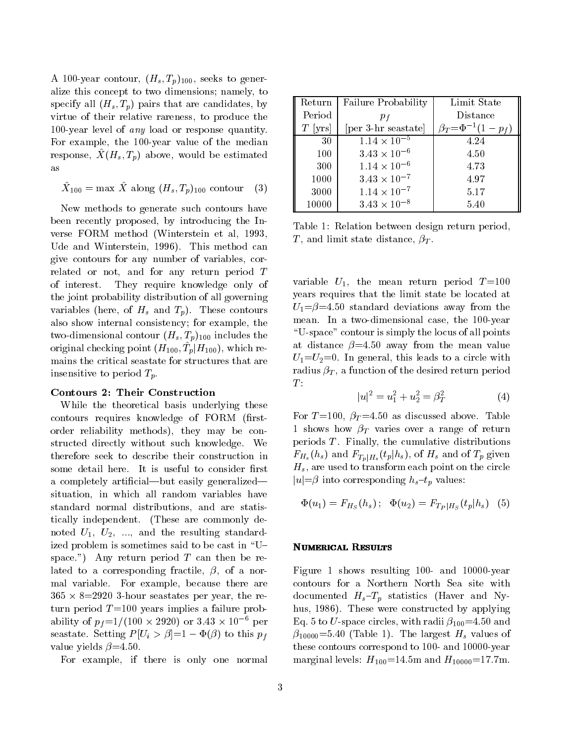A 100-year contour,  $(H_s, T_p)_{100}$ , seeks to generalize this concept to two dimensions; namely, to specify all  $(H_s, T_p)$  pairs that are candidates, by virtue of their relative rareness, to produce the 100-year level of any load or response quantity. For example, the 100-year value of the median response,  $\Lambda(H_s, I_p)$  above, would be estimated  $\blacksquare$ as

$$
\hat{X}_{100} = \max \, \hat{X} \text{ along } (H_s, T_p)_{100} \text{ contour} \quad (3) \qquad \blacksquare
$$

New methods to generate such contours have been recently proposed, by introducing the Inverse FORM method (Winterstein et al, 1993, Ude and Winterstein, 1996). This method can give contours for any number of variables, correlated or not, and for any return period <sup>T</sup> of interest. They require knowledge only of the joint probability distribution of all governing variables (here, of  $H_s$  and  $T_p$ ). These contours also show internal consistency; for example, the two-dimensional contour  $(H_s, T_p)_{100}$  includes the original checking point  $(H_1|00, T_p|H_1|00)$ , which remains the critical seastate for structures that are insensitive to period  $T_p$ .

## Contours 2: Their Construction

While the theoretical basis underlying these contours requires knowledge of FORM (firstorder reliability methods), they may be constructed directly without such knowledge. We therefore seek to describe their construction in some detail here. It is useful to consider first a completely artificial—but easily generalized situation, in which all random variables have standard normal distributions, and are statistically independent. (These are commonly denoted  $U_1$ ,  $U_2$ , ..., and the resulting standardized problem is sometimes said to be cast in "Uspace.") Any return period  $T$  can then be related to a corresponding fractile,  $\beta$ , of a normal variable. For example, because there are 365 - 8=2920 3-hour seastates per year, the return period  $T=100$  years implies a failure probability of  $p_f = 1/(100 \times 2920)$  or 3.43  $\times$  10 for the research set seastate. Setting  $P[U_i > \beta]=1-\Phi(\beta)$  to this  $p_f$ value yields  $\beta$ =4.50.

For example, if there is only one normal

| Return    | <b>Failure Probability</b>      | Limit State                    |  |
|-----------|---------------------------------|--------------------------------|--|
| Period    | $p_f$                           | Distance                       |  |
| $T$ [yrs] | [per 3-hr seastate]             | $\beta_T = \Phi^{-1}(1 - p_f)$ |  |
| 30        | $\frac{1.14 \times 10^{-5}}{2}$ | 4.24                           |  |
| 100       | $3.43 \times 10^{-6}$           | 4.50                           |  |
| 300       | $1.14 \times 10^{-6}$           | 4.73                           |  |
| 1000      | $3.43 \times 10^{-7}$           | 4.97                           |  |
| 3000      | $1.14 \times 10^{-7}$           | 5.17                           |  |
| 10000     | $3.43 \times 10^{-8}$           | 5.40                           |  |

Table 1: Relation between design return period, T, and limit state distance,  $\beta_T$ .

variable  $U_1$ , the mean return period  $T=100$ years requires that the limit state be located at  $U_1 = \beta = 4.50$  standard deviations away from the mean. In a two-dimensional case, the 100-year \U-space" contour is simply the locus of all points at distance  $\beta = 4.50$  away from the mean value  $U_1=U_2=0$ . In general, this leads to a circle with radius  $\beta_T$ , a function of the desired return period  $T$ :

$$
|u|^2 = u_1^2 + u_2^2 = \beta_T^2 \tag{4}
$$

For  $T=100$ ,  $\beta_T=4.50$  as discussed above. Table 1 shows how  $\beta_T$  varies over a range of return periods  $T$ . Finally, the cumulative distributions  $F_{H_s}(h_s)$  and  $F_{T_p|H_s}(t_p|h_s)$ , of  $H_s$  and of  $T_p$  given  $H_s$ , are used to transform each point on the circle  $|u| = \beta$  into corresponding  $h_s - t_p$  values:

$$
\Phi(u_1) = F_{H_S}(h_s); \quad \Phi(u_2) = F_{T_P|H_S}(t_p|h_s) \quad (5)
$$

## Numerical Results

Figure 1 shows resulting 100- and 10000-year contours for a Northern North Sea site with documented  $H_s-T_p$  statistics (Haver and Nyhus, 1986). These were constructed by applying Eq. 5 to U-space circles, with radii  $\beta_{100} = 4.50$  and  $\beta_{10000}$ =5.40 (Table 1). The largest  $H_s$  values of these contours correspond to 100- and 10000-year marginal levels:  $H_{100} = 14.5$ m and  $H_{10000} = 17.7$ m.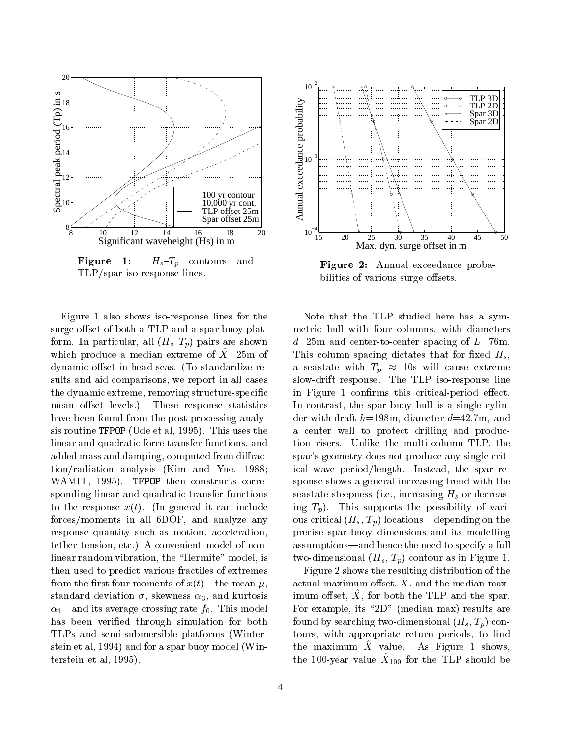

**Figure 1:**  $H_s-T_p$  contours and TLP/spar iso-response lines.

Figure 1 also shows iso-response lines for the surge offset of both a TLP and a spar buoy platform. In particular, all  $(H_s-T_p)$  pairs are shown which produce a median extreme of  $X = 25$ m of dynamic offset in head seas. (To standardize results and aid comparisons, we report in all cases the dynamic extreme, removing structure-specic mean offset levels.) These response statistics have been found from the post-processing analysis routine TFPOP (Ude et al, 1995). This uses the linear and quadratic force transfer functions, and added mass and damping, computed from diffraction/radiation analysis (Kim and Yue, 1988; WAMIT, 1995). TFPOP then constructs corresponding linear and quadratic transfer functions to the response  $x(t)$ . (In general it can include forces/moments in all 6DOF, and analyze any response quantity such as motion, acceleration, tether tension, etc.) A convenient model of nonlinear random vibration, the "Hermite" model, is then used to predict various fractiles of extremes from the first four moments of  $x(t)$ —the mean  $\mu$ , standard deviation  $\sigma$ , skewness  $\alpha_3$ , and kurtosis  $\alpha_4$ —and its average crossing rate  $f_0$ . This model has been verified through simulation for both TLPs and semi-submersible platforms (Winterstein et al, 1994) and for a spar buoy model (Winterstein et al, 1995).



Figure 2: Annual exceedance probabilities of various surge offsets.

Note that the TLP studied here has a symmetric hull with four columns, with diameters  $d=25$ m and center-to-center spacing of  $L=76$ m. This column spacing dictates that for fixed  $H_s$ , a seastate with  $T_p \approx 10$ s will cause extreme slow-drift response. The TLP iso-response line in Figure 1 confirms this critical-period effect. In contrast, the spar buoy hull is a single cylinder with draft  $h=198$ m, diameter  $d=42.7$ m, and a center well to protect drilling and production risers. Unlike the multi-column TLP, the spar's geometry does not produce any single critical wave period/length. Instead, the spar response shows a general increasing trend with the seastate steepness (i.e., increasing  $H_s$  or decreasing  $T_p$ ). This supports the possibility of various critical  $(H_s, T_p)$  locations—depending on the precise spar buoy dimensions and its modelling assumptions—and hence the need to specify a full two-dimensional  $(H_s, T_p)$  contour as in Figure 1.

Figure 2 shows the resulting distribution of the actual maximum offset,  $X$ , and the median max- $\liminf$  onset,  $\Lambda$ , for both the TLP and the spar. For example, its "2D" (median max) results are found by searching two-dimensional  $(H_s, T_p)$  contours, with appropriate return periods, to find the maximum  $X$  value. As Figure 1 shows, the 100-year value  $X_{100}$  for the TLP should be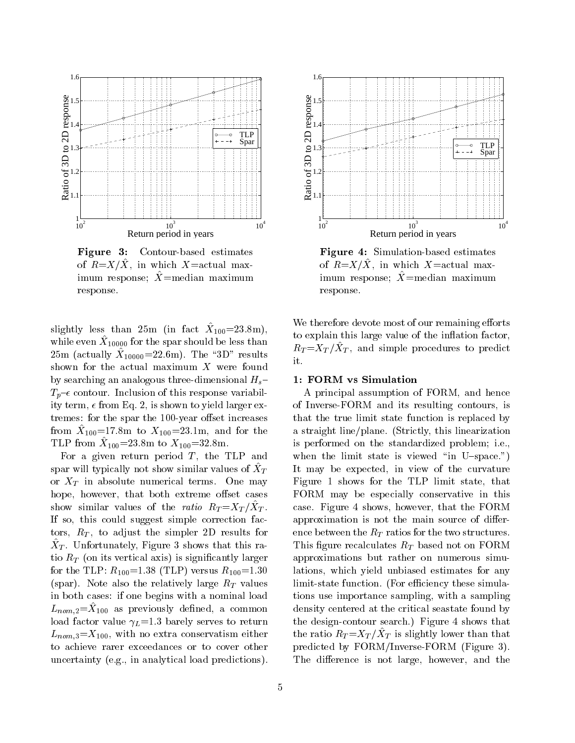

Figure 3: Contour-based estimates of  $\mu = X/\lambda$ , in which  $X = \alpha$ ctual maximum response;  $\overline{X}$  =median maximum response.

 $\sup_{\mathbf{M}}$  is than 20m (in fact  $X_{100}$   $-$ 20.8m), while even  $\Lambda_{10000}$  for the spar should be less than  $25 \text{ m}$  (actually  $\Delta 10000 - 22.6 \text{ m}$ ). The  $3D$  results  $\phantom{0000}$ shown for the actual maximum  $X$  were found by searching an analogous three-dimensional  $H_s$ - $T_p$ - $\epsilon$  contour. Inclusion of this response variability term,  $\epsilon$  from Eq. 2, is shown to yield larger extremes: for the spar the 100-year offset increases  $\text{Hom}$   $\Lambda_{100}$  = 17.8m to  $\Lambda_{100}$  = 23.1m, and for the a THE HOME  $X_{100} = 23.8$  m to  $X_{100} = 32.8$  m.

For a given return period  $T$ , the TLP and spar will typically not show similar values of  $\ddot{X}_T$ or  $X_T$  in absolute numerical terms. One may hope, however, that both extreme offset cases show similar values of the ratio  $R_T = X_T / X_T$ .  $\blacksquare$ If so, this could suggest simple correction factors,  $R_T$ , to adjust the simpler 2D results for  $\lambda$ T. Unfortunately, Figure 3 shows that this ratio  $R_T$  (on its vertical axis) is significantly larger for the TLP:  $R_{100} = 1.38$  (TLP) versus  $R_{100} = 1.30$ (spar). Note also the relatively large  $R_T$  values in both cases: if one begins with a nominal load  $L_{\text{nom},2} = \Lambda_{100}$  as previously defined, a common defined load factor value  $\gamma_L=1.3$  barely serves to return  $L_{nom,3}=X_{100}$ , with no extra conservatism either to achieve rarer exceedances or to cover other uncertainty (e.g., in analytical load predictions).



Figure 4: Simulation-based estimates of  $R = X/X$ , in which  $X = a$ ctual maximum response;  $\overline{X}$ =median maximum response.

We therefore devote most of our remaining efforts to explain this large value of the inflation factor,  $R_T = X_T / X_T$ , and simple procedures to predict it.

## 1: FORM vs Simulation

A principal assumption of FORM, and hence of Inverse-FORM and its resulting contours, is that the true limit state function is replaced by a straight line/plane. (Strictly, this linearization is performed on the standardized problem; i.e., when the limit state is viewed "in U-space.") It may be expected, in view of the curvature Figure 1 shows for the TLP limit state, that FORM may be especially conservative in this case. Figure 4 shows, however, that the FORM approximation is not the main source of difference between the  $R_T$  ratios for the two structures. This figure recalculates  $R_T$  based not on FORM approximations but rather on numerous simulations, which yield unbiased estimates for any limit-state function. (For efficiency these simulations use importance sampling, with a sampling density centered at the critical seastate found by the design-contour search.) Figure 4 shows that the ratio  $R_T = X_T / X_T$  is slightly lower than that predicted by FORM/Inverse-FORM (Figure 3). The difference is not large, however, and the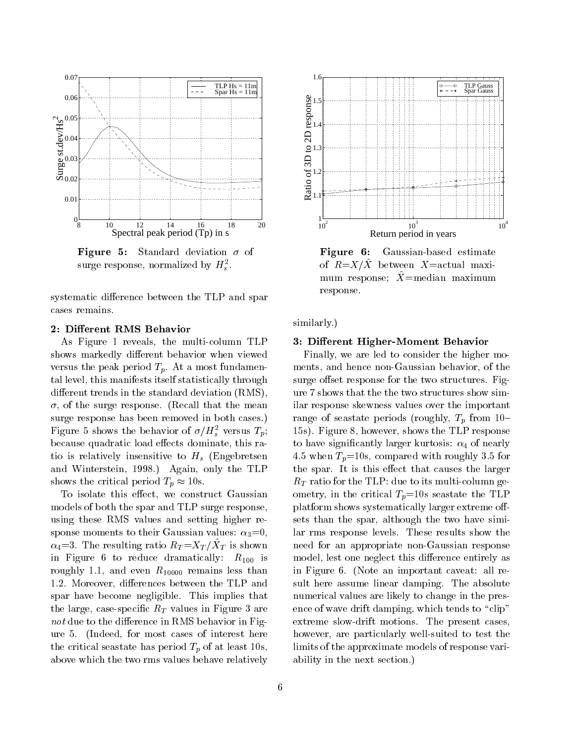

**Figure 5:** Standard deviation  $\sigma$  of surge response, normalized by  $\pi_{\tilde{s}}$ .

systematic difference between the TLP and spar cases remains.

### 2: Different RMS Behavior

As Figure 1 reveals, the multi-column TLP shows markedly different behavior when viewed versus the peak period  $T_p$ . At a most fundamental level, this manifests itself statistically through different trends in the standard deviation (RMS),  $\sigma$ , of the surge response. (Recall that the mean surge response has been removed in both cases.) Figure 5 shows the behavior of  $\sigma/H_s^-$  versus  $I_p$ ; because quadratic load effects dominate, this ratio is relatively insensitive to  $H_s$  (Engebretsen and Winterstein, 1998.) Again, only the TLP shows the critical period  $T_p \approx 10$ s.

To isolate this effect, we construct Gaussian models of both the spar and TLP surge response, using these RMS values and setting higher response moments to their Gaussian values:  $\alpha_3=0$ ,  $\alpha_4$ — $\beta$ . The resulting ratio  $R_T = \alpha_T / \alpha_T$  is shown here in Figure 6 to reduce dramatically:  $R_{100}$  is roughly 1.1, and even  $R_{10000}$  remains less than 1.2. Moreover, differences between the TLP and spar have become negligible. This implies that the large, case-specific  $R_T$  values in Figure 3 are not due to the difference in RMS behavior in Figure 5. (Indeed, for most cases of interest here the critical seastate has period  $T_p$  of at least 10s, above which the two rms values behave relatively



Figure 6: Gaussian-based estimate of  $R=X/X$  between X=actual maximum response;  $\overline{X}$ =median maximum response.

similarly.)

### 3: Different Higher-Moment Behavior

Finally, we are led to consider the higher moments, and hence non-Gaussian behavior, of the surge offset response for the two structures. Figure 7 shows that the the two structures show similar response skewness values over the important range of seastate periods (roughly,  $T_p$  from 10-15s). Figure 8, however, shows the TLP response to have significantly larger kurtosis:  $\alpha_4$  of nearly 4.5 when  $T_p=10$ s, compared with roughly 3.5 for the spar. It is this effect that causes the larger  $R_T$  ratio for the TLP: due to its multi-column geometry, in the critical  $T_p=10$ s seastate the TLP platform shows systematically larger extreme offsets than the spar, although the two have similar rms response levels. These results show the need for an appropriate non-Gaussian response model, lest one neglect this difference entirely as in Figure 6. (Note an important caveat: all result here assume linear damping. The absolute numerical values are likely to change in the presence of wave drift damping, which tends to "clip" extreme slow-drift motions. The present cases, however, are particularly well-suited to test the limits of the approximate models of response variability in the next section.)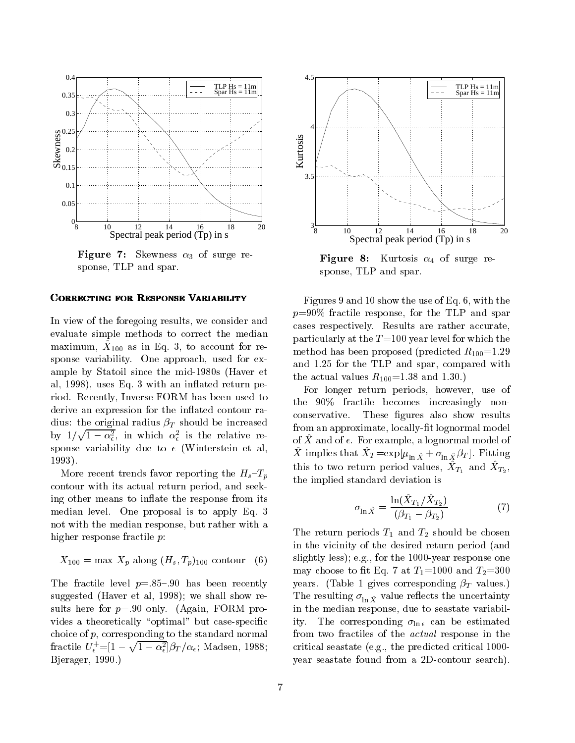

**Figure 7:** Skewness  $\alpha_3$  of surge response, TLP and spar.

### **CORRECTING FOR RESPONSE VARIABILITY**

In view of the foregoing results, we consider and evaluate simple methods to correct the median  $maxminum, \chi_{100}$  as in Eq. 3, to account for response variability. One approach, used for example by Statoil since the mid-1980s (Haver et al, 1998), uses Eq. 3 with an in
ated return period. Recently, Inverse-FORM has been used to derive an expression for the inflated contour radius: the original radius  $\beta_T$  should be increased by  $1/\sqrt{1-\alpha_{\epsilon}^2}$ , in which  $\alpha_{\epsilon}^2$  is the relative response variability due to  $\epsilon$  (Winterstein et al, 1993).

More recent trends favor reporting the  $H_s-T_p$ contour with its actual return period, and seeking other means to inflate the response from its median level. One proposal is to apply Eq. 3 not with the median response, but rather with a higher response fractile  $p$ :

$$
X_{100} = \max X_p \text{ along } (H_s, T_p)_{100} \text{ contour } (6) \quad \text{s}
$$

The fractile level  $p=.85-.90$  has been recently suggested (Haver et al, 1998); we shall show results here for  $p=.90$  only. (Again, FORM provides a theoretically "optimal" but case-specific choice of p, corresponding to the standard normal fractile  $U_{\epsilon}^{+}$  = [1 -  $\sqrt{1-\alpha_{\epsilon}^2}$ ] $\beta_T/\alpha_{\epsilon}$ ; Madsen, 1988; Bjerager, 1990.)



**Figure 8:** Kurtosis  $\alpha_4$  of surge response, TLP and spar.

Figures 9 and 10 show the use of Eq. 6, with the  $p=90\%$  fractile response, for the TLP and spar cases respectively. Results are rather accurate, particularly at the  $T=100$  year level for which the method has been proposed (predicted  $R_{100}=1.29$ ) and 1.25 for the TLP and spar, compared with the actual values  $R_{100} = 1.38$  and 1.30.)

For longer return periods, however, use of the 90% fractile becomes increasingly nonconservative. These figures also show results from an approximate, locally-fit lognormal model of X^ and of . For example, a lognormal model of A implies that  $X_T = \exp[\mu_{\ln \hat{X}} + \sigma_{\ln \hat{X}} \rho_T]$ . Fitting this to two return period values,  $X_{T_1}$  and  $X_{T_2}$ , the implied standard deviation is

$$
\sigma_{\ln \hat{X}} = \frac{\ln(\hat{X}_{T_1} / \hat{X}_{T_2})}{(\beta_{T_1} - \beta_{T_2})} \tag{7}
$$

The return periods  $T_1$  and  $T_2$  should be chosen in the vicinity of the desired return period (and slightly less); e.g., for the 1000-year response one may choose to fit Eq. 7 at  $T_1$ =1000 and  $T_2$ =300 years. (Table 1 gives corresponding  $\beta_T$  values.)  $T$  is resulting  $\lim_{\Delta} X$  value resulting results the uncertainty in the median response, due to seastate variability. The corresponding  $\sigma_{\ln \epsilon}$  can be estimated from two fractiles of the actual response in the critical seastate (e.g., the predicted critical 1000 year seastate found from a 2D-contour search).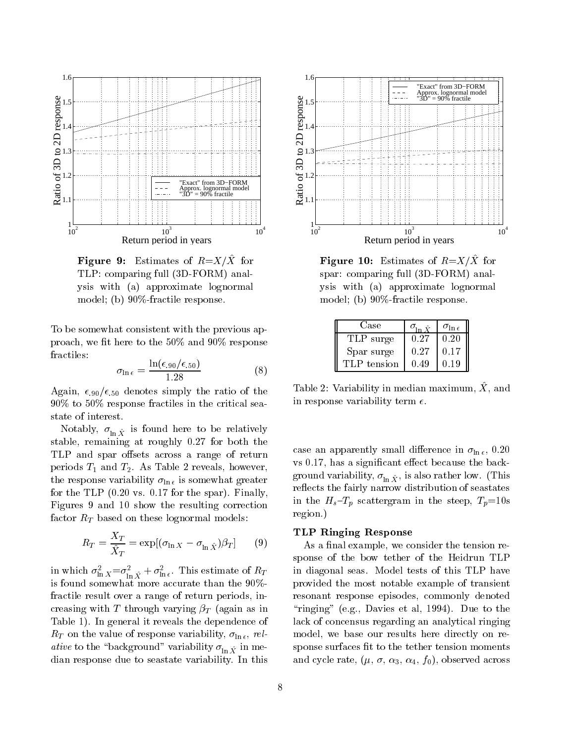

**Figure 9.** Estimates of  $\mathbb{R} = \mathbb{R}^n$  for TLP: comparing full (3D-FORM) analysis with (a) approximate lognormal model; (b) 90%-fractile response.

To be somewhat consistent with the previous approach, we fit here to the  $50\%$  and  $90\%$  response fractiles:

$$
\sigma_{\ln \epsilon} = \frac{\ln(\epsilon_{.90}/\epsilon_{.50})}{1.28} \tag{8}
$$

Again,  $\epsilon_{.90}/\epsilon_{.50}$  denotes simply the ratio of the 90% to 50% response fractiles in the critical seastate of interest.

Figures , when  $\ln X$  is found here to be relatively found here  $\lambda$ stable, remaining at roughly 0.27 for both the TLP and spar offsets across a range of return periods  $T_1$  and  $T_2$ . As Table 2 reveals, however, the response variability  $\sigma_{\ln \epsilon}$  is somewhat greater for the TLP (0.20 vs. 0.17 for the spar). Finally, Figures 9 and 10 show the resulting correction factor  $R_T$  based on these lognormal models:

$$
R_T = \frac{X_T}{\hat{X}_T} = \exp[(\sigma_{\ln X} - \sigma_{\ln \hat{X}})\beta_T] \qquad (9)
$$

in which  $\sigma_{\ln X} = \sigma_{\ln \hat{X}} + \sigma_{\ln \epsilon}$ . This estimate of  $R_T$  in is found somewhat more accurate than the 90% fractile result over a range of return periods, increasing with T through varying  $\beta_T$  (again as in Table 1). In general it reveals the dependence of  $R_T$  on the value of response variability,  $\sigma_{\ln \epsilon}$ , relative to the  $\bar{z}$  variable  $\bar{z}$  variability  $\bar{z}$  in  $X$  in median response due to seastate variability. In this



**Figure 10.** Estimates of  $\mu = \Lambda / \Lambda$  for spar: comparing full (3D-FORM) analysis with (a) approximate lognormal model; (b) 90%-fractile response.

| Case        |      |      |  |
|-------------|------|------|--|
| TLP surge   | 0.27 | 0.20 |  |
| Spar surge  | 0.27 | 0.17 |  |
| TLP tension | በ 49 | N 19 |  |

 $\pm$  able 2. Variability in median maximum,  $\Lambda$ , and in response variability term  $\epsilon$ .

case an apparently small difference in  $\sigma_{\ln \epsilon}$ , 0.20  $vs$  0.17, has a significant effect because the back- $\Theta$ - is also variable little  $y$ , is also rather low. (The low. reflects the fairly narrow distribution of seastates in the  $H_s-T_p$  scattergram in the steep,  $T_p=10s$ region.)

## TLP Ringing Response

As a final example, we consider the tension response of the bow tether of the Heidrun TLP in diagonal seas. Model tests of this TLP have provided the most notable example of transient resonant response episodes, commonly denoted " $r$ inging" (e.g., Davies et al, 1994). Due to the lack of concensus regarding an analytical ringing model, we base our results here directly on response surfaces fit to the tether tension moments and cycle rate,  $(\mu, \sigma, \alpha_3, \alpha_4, f_0)$ , observed across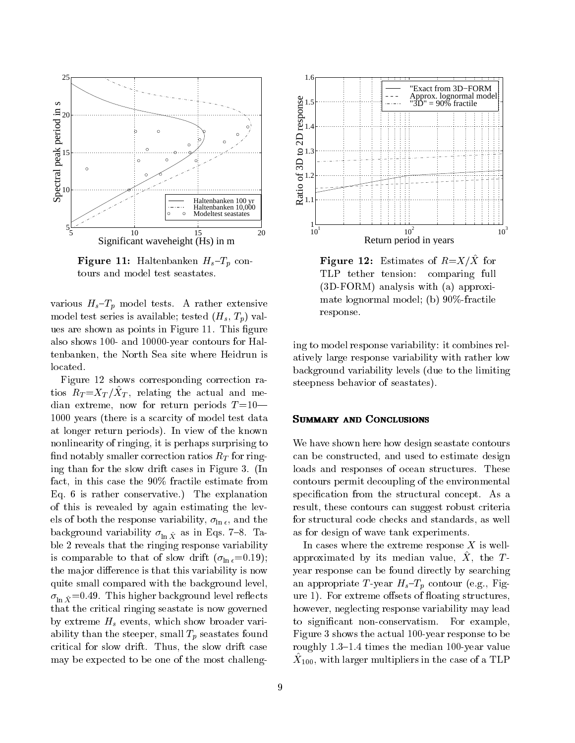

**Figure 11:** Haltenbanken  $H_s-T_p$  contours and model test seastates.

various  $H_s$ - $T_p$  model tests. A rather extensive model test series is available; tested  $(H_s, T_p)$  values are shown as points in Figure 11. This figure also shows 100- and 10000-year contours for Haltenbanken, the North Sea site where Heidrun is located.

Figure 12 shows corresponding correction ra $t_{\rm U}$  is  $RT = XT / XT$ , relating the actual and median extreme, now for return periods  $T = 10$ — 1000 years (there is a scarcity of model test data at longer return periods). In view of the known nonlinearity of ringing, it is perhaps surprising to find notably smaller correction ratios  $R_T$  for ringing than for the slow drift cases in Figure 3. (In fact, in this case the 90% fractile estimate from Eq. 6 is rather conservative.) The explanation of this is revealed by again estimating the levels of both the response variability,  $\sigma_{\ln \epsilon}$ , and the background variability  $\ln X$  as in Eqs. 7  $\sin^{-1}$ ble 2 reveals that the ringing response variability is comparable to that of slow drift  $(\sigma_{\ln \epsilon} = 0.19);$ the major difference is that this variability is now quite small compared with the background level,  $\lim_{\Delta} X$  = 0.49. The matrix higher background level resolution is a series of the series of the series of the series of the series of the series of the series of the series of the series of the series of the series of th that the critical ringing seastate is now governed by extreme  $H_s$  events, which show broader variability than the steeper, small  $T_p$  seastates found critical for slow drift. Thus, the slow drift case may be expected to be one of the most challeng-



**Figure 12.** Estimates of  $R = X/X$  for TLP tether tension: comparing full (3D-FORM) analysis with (a) approximate lognormal model; (b) 90%-fractile response.

ing to model response variability: it combines relatively large response variability with rather low background variability levels (due to the limiting steepness behavior of seastates).

#### SUMMARY AND CONCLUSIONS

We have shown here how design seastate contours can be constructed, and used to estimate design loads and responses of ocean structures. These contours permit decoupling of the environmental specification from the structural concept. As a result, these contours can suggest robust criteria for structural code checks and standards, as well as for design of wave tank experiments.

In cases where the extreme response  $X$  is wellapproximated by its including value,  $\Lambda$ , the  $T$  year response can be found directly by searching an appropriate T-year  $H_s-T_p$  contour (e.g., Figure 1). For extreme offsets of floating structures, however, neglecting response variability may lead to signicant non-conservatism. For example, Figure 3 shows the actual 100-year response to be roughly  $1.3-1.4$  times the median 100-year value  $\alpha_{100}$ , with larger multipliers in the case of a TLP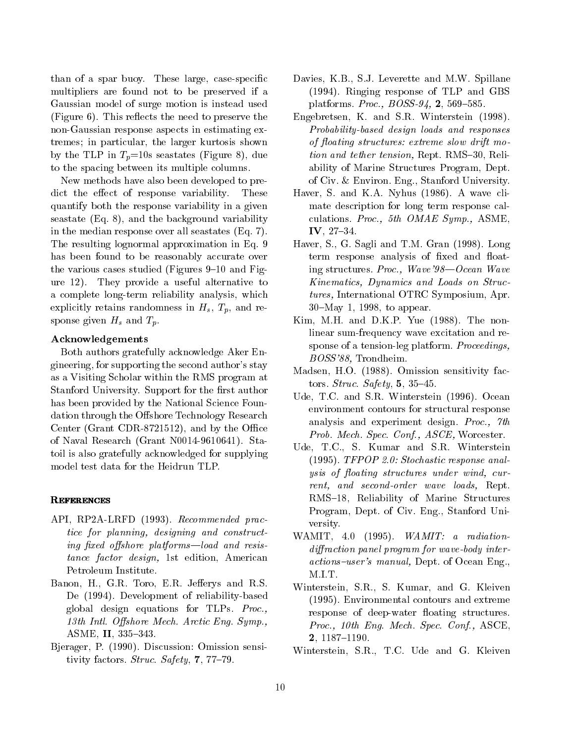than of a spar buoy. These large, case-specific multipliers are found not to be preserved if a Gaussian model of surge motion is instead used  $(Figure 6)$ . This reflects the need to preserve the non-Gaussian response aspects in estimating extremes; in particular, the larger kurtosis shown by the TLP in  $T_p=10$ s seastates (Figure 8), due to the spacing between its multiple columns.

New methods have also been developed to predict the effect of response variability. These quantify both the response variability in a given seastate (Eq. 8), and the background variability in the median response over all seastates (Eq. 7). The resulting lognormal approximation in Eq. 9 has been found to be reasonably accurate over the various cases studied (Figures  $9-10$  and Figure 12). They provide a useful alternative to a complete long-term reliability analysis, which explicitly retains randomness in  $H_s$ ,  $T_p$ , and response given  $H_s$  and  $T_p$ .

## Acknowledgements

Both authors gratefully acknowledge Aker Engineering, for supporting the second author's stay as a Visiting Scholar within the RMS program at Stanford University. Support for the first author has been provided by the National Science Foundation through the Offshore Technology Research Center (Grant CDR-8721512), and by the Office of Naval Research (Grant N0014-9610641). Statoil is also gratefully acknowledged for supplying model test data for the Heidrun TLP.

## **REFERENCES**

- API, RP2A-LRFD (1993). Recommended practice for planning, designing and constructing fixed offshore platforms—load and resistance factor design, 1st edition, American Petroleum Institute.
- Banon, H., G.R. Toro, E.R. Jefferys and R.S. De (1994). Development of reliability-based global design equations for TLPs. Proc., 13th Intl. Offshore Mech. Arctic Eng. Symp., ASME, II, 335-343.
- Bjerager, P. (1990). Discussion: Omission sensitivity factors. Struc. Safety,  $7, 77-79$ .
- Davies, K.B., S.J. Leverette and M.W. Spillane (1994). Ringing response of TLP and GBS platforms. *Proc.*,  $BOSS-94$ , **2**, 569-585.
- Engebretsen, K. and S.R. Winterstein (1998). Probability-based design loads and responses of floating structures: extreme slow drift motion and tether tension, Rept. RMS-30, Reliability of Marine Structures Program, Dept. of Civ. & Environ. Eng., Stanford University.
- Haver, S. and K.A. Nyhus (1986). A wave climate description for long term response calculations. Proc., 5th OMAE Symp., ASME, IV,  $27{-}34$ .
- Haver, S., G. Sagli and T.M. Gran (1998). Long term response analysis of fixed and floating structures. Proc., Wave'98—Ocean Wave Kinematics, Dynamics and Loads on Structures, International OTRC Symposium, Apr.  $30$ –May 1, 1998, to appear.
- Kim, M.H. and D.K.P. Yue (1988). The nonlinear sum-frequency wave excitation and response of a tension-leg platform. Proceedings, BOSS'88, Trondheim.
- Madsen, H.O. (1988). Omission sensitivity factors. Struc. Safety,  $5, 35-45$ .
- Ude, T.C. and S.R. Winterstein (1996). Ocean environment contours for structural response analysis and experiment design. Proc., 7th Prob. Mech. Spec. Conf., ASCE, Worcester.
- Ude, T.C., S. Kumar and S.R. Winterstein (1995). TFPOP 2.0: Stochastic response analysis of floating structures under wind, current, and second-order wave loads, Rept. RMS-18, Reliability of Marine Structures Program, Dept. of Civ. Eng., Stanford University.
- WAMIT, 4.0 (1995). WAMIT: a radiationdiffraction panel program for wave-body interactions-user's manual, Dept. of Ocean Eng., M.I.T.
- Winterstein, S.R., S. Kumar, and G. Kleiven (1995). Environmental contours and extreme response of deep-water floating structures. Proc., 10th Eng. Mech. Spec. Conf., ASCE, 2, 1187-1190.
- Winterstein, S.R., T.C. Ude and G. Kleiven